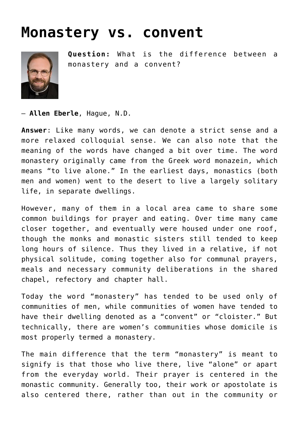## **[Monastery vs. convent](https://www.osvnews.com/2013/11/06/monastery-vs-convent/)**



**Question:** What is the difference between a monastery and a convent?

— **Allen Eberle**, Hague, N.D.

**Answer**: Like many words, we can denote a strict sense and a more relaxed colloquial sense. We can also note that the meaning of the words have changed a bit over time. The word monastery originally came from the Greek word monazein, which means "to live alone." In the earliest days, monastics (both men and women) went to the desert to live a largely solitary life, in separate dwellings.

However, many of them in a local area came to share some common buildings for prayer and eating. Over time many came closer together, and eventually were housed under one roof, though the monks and monastic sisters still tended to keep long hours of silence. Thus they lived in a relative, if not physical solitude, coming together also for communal prayers, meals and necessary community deliberations in the shared chapel, refectory and chapter hall.

Today the word "monastery" has tended to be used only of communities of men, while communities of women have tended to have their dwelling denoted as a "convent" or "cloister." But technically, there are women's communities whose domicile is most properly termed a monastery.

The main difference that the term "monastery" is meant to signify is that those who live there, live "alone" or apart from the everyday world. Their prayer is centered in the monastic community. Generally too, their work or apostolate is also centered there, rather than out in the community or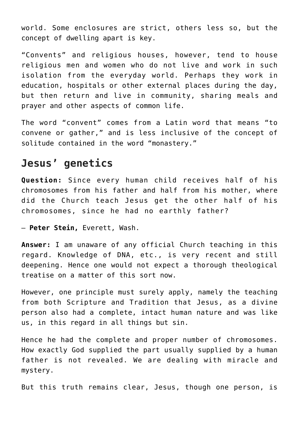world. Some enclosures are strict, others less so, but the concept of dwelling apart is key.

"Convents" and religious houses, however, tend to house religious men and women who do not live and work in such isolation from the everyday world. Perhaps they work in education, hospitals or other external places during the day, but then return and live in community, sharing meals and prayer and other aspects of common life.

The word "convent" comes from a Latin word that means "to convene or gather," and is less inclusive of the concept of solitude contained in the word "monastery."

## **Jesus' genetics**

**Question:** Since every human child receives half of his chromosomes from his father and half from his mother, where did the Church teach Jesus get the other half of his chromosomes, since he had no earthly father?

— **Peter Stein,** Everett, Wash.

**Answer:** I am unaware of any official Church teaching in this regard. Knowledge of DNA, etc., is very recent and still deepening. Hence one would not expect a thorough theological treatise on a matter of this sort now.

However, one principle must surely apply, namely the teaching from both Scripture and Tradition that Jesus, as a divine person also had a complete, intact human nature and was like us, in this regard in all things but sin.

Hence he had the complete and proper number of chromosomes. How exactly God supplied the part usually supplied by a human father is not revealed. We are dealing with miracle and mystery.

But this truth remains clear, Jesus, though one person, is